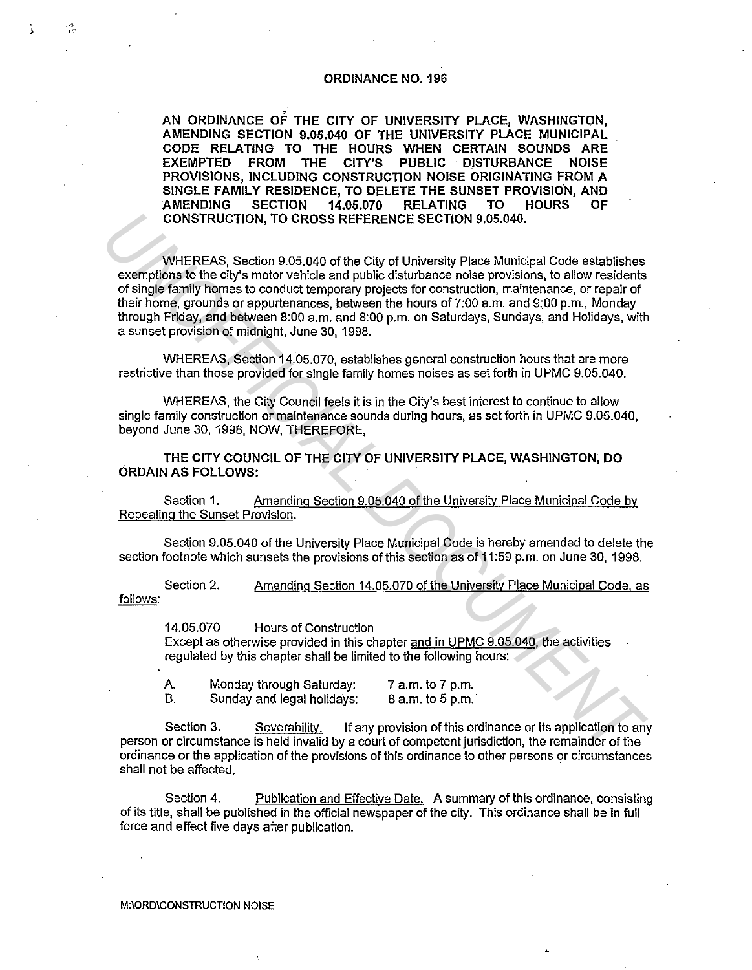## **ORDINANCE N0.196**

**AN ORDINANCE OF THE CITY OF UNIVERSITY PLACE, WASHINGTON, AMENDING SECTION 9.05.040 OF THE UNIVERSITY PLACE MUNICIPAL CODE RELATING TO THE HOURS WHEN CERTAIN SOUNDS ARE**  EXEMPTED FROM THE CITY'S PUBLIC DISTURBANCE NOISE **PROVISIONS, INCLUDING CONSTRUCTION NOISE ORIGINATING FROM A SINGLE FAMILY RESIDENCE, TO DELETE THE SUNSET PROVISION, AND AMENDING SECTION 14.05.070 RELATING TO HOURS OF CONSTRUCTION, TO CROSS REFERENCE SECTION 9.05.040.** 

WHEREAS, Section 9.05.040 of the City of University Place Municipal Code establishes exemptions to the city's motor vehicle and public disturbance noise provisions, to allow residents of single family homes to conduct temporary projects for construction, maintenance, or repair of their home, grounds or appurtenances, between the hours of 7:00 a.m. and 9:00 p.m., Monday through Friday, and between 8:00 a.m. and 8:00 p.m. on Saturdays, Sundays, and Holidays, with a sunset provision of midnight, June 30, 1998. CONSTRUCTION, TO CROSS REFERENCE SECTION 9.05.040<br>
wavenploins to the clip of University Place Municipal Code establishes<br>
exemploins to the clip of the Clip of University Place Municipal Code establishes<br>
of single family

WHEREAS, Section 14.05.070, establishes general construction hours that are more restrictive than those provided for single family homes noises as set forth in UPMC 9.05.040.

WHEREAS, the City Council feels it is in the City's best interest to continue to allow single family construction or maintenance sounds during hours, as set forth in UPMC 9.05.040, beyond June 30, 1998, NOW, THEREFORE,

**THE CITY COUNCIL OF THE CITY OF UNIVERSITY PLACE, WASHINGTON, DO ORDAIN AS FOLLOWS:** 

Section 1. Amending Section 9.05.040 of the University Place Municipal Code by Repealing the Sunset Provision.

Section 9.05.040 of the University Place Municipal Code is hereby amended to delete the section footnote which sunsets the provisions of this section as of 11 :59 p.m. on June 30, 1998.

Section 2. follows: Amending Section 14.05.070 of the University Place Municipal Code, as

14.05.070 Hours of Construction

Except as otherwise provided in this chapter and in UPMC 9.05.040, the activities regulated by this chapter shall be limited to the following hours:

A. B. Monday through Saturday: Sunday and legal holidays: 7 a.m. to 7 p.m. 8 a.m. to 5 p.m.

Section 3. Severability. If any provision of this ordinance or its application to any person or circumstance is held invalid by a court of competent jurisdiction, the remainder of the ordinance or the application of the provisions of this ordinance to other persons or circumstances shall not be affected.

Section 4. Publication and Effective Date. A summary of this ordinance, consisting of its title, shall be published in the official newspaper of the city. This ordinance shall be in full force and effect five days after publication.

M:\ORD\CONSTRUCTION NOISE